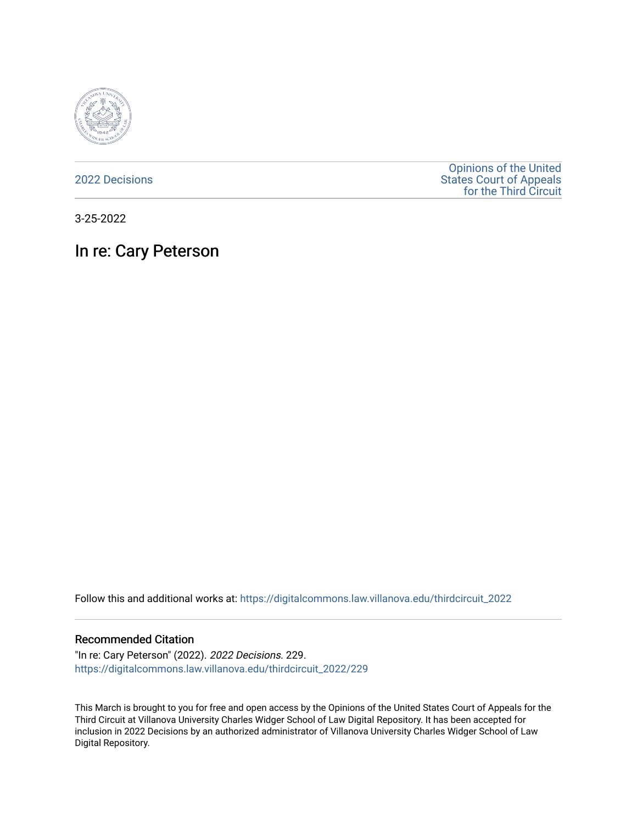

[2022 Decisions](https://digitalcommons.law.villanova.edu/thirdcircuit_2022)

[Opinions of the United](https://digitalcommons.law.villanova.edu/thirdcircuit)  [States Court of Appeals](https://digitalcommons.law.villanova.edu/thirdcircuit)  [for the Third Circuit](https://digitalcommons.law.villanova.edu/thirdcircuit) 

3-25-2022

In re: Cary Peterson

Follow this and additional works at: [https://digitalcommons.law.villanova.edu/thirdcircuit\\_2022](https://digitalcommons.law.villanova.edu/thirdcircuit_2022?utm_source=digitalcommons.law.villanova.edu%2Fthirdcircuit_2022%2F229&utm_medium=PDF&utm_campaign=PDFCoverPages) 

## Recommended Citation

"In re: Cary Peterson" (2022). 2022 Decisions. 229. [https://digitalcommons.law.villanova.edu/thirdcircuit\\_2022/229](https://digitalcommons.law.villanova.edu/thirdcircuit_2022/229?utm_source=digitalcommons.law.villanova.edu%2Fthirdcircuit_2022%2F229&utm_medium=PDF&utm_campaign=PDFCoverPages)

This March is brought to you for free and open access by the Opinions of the United States Court of Appeals for the Third Circuit at Villanova University Charles Widger School of Law Digital Repository. It has been accepted for inclusion in 2022 Decisions by an authorized administrator of Villanova University Charles Widger School of Law Digital Repository.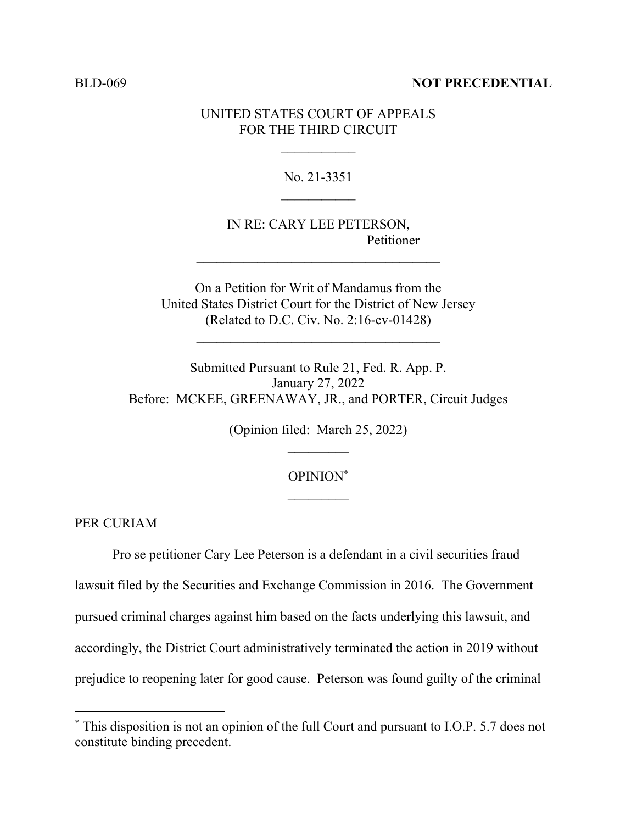## BLD-069 **NOT PRECEDENTIAL**

## UNITED STATES COURT OF APPEALS FOR THE THIRD CIRCUIT

No. 21-3351

IN RE: CARY LEE PETERSON, Petitioner

 $\mathcal{L}_\text{max}$ 

On a Petition for Writ of Mandamus from the United States District Court for the District of New Jersey (Related to D.C. Civ. No. 2:16-cv-01428)

 $\mathcal{L}_\text{max}$ 

Submitted Pursuant to Rule 21, Fed. R. App. P. January 27, 2022 Before: MCKEE, GREENAWAY, JR., and PORTER, Circuit Judges

(Opinion filed: March 25, 2022)

## OPINION\*  $\mathcal{L}_\text{max}$

PER CURIAM

Pro se petitioner Cary Lee Peterson is a defendant in a civil securities fraud lawsuit filed by the Securities and Exchange Commission in 2016. The Government pursued criminal charges against him based on the facts underlying this lawsuit, and accordingly, the District Court administratively terminated the action in 2019 without prejudice to reopening later for good cause. Peterson was found guilty of the criminal

<sup>\*</sup> This disposition is not an opinion of the full Court and pursuant to I.O.P. 5.7 does not constitute binding precedent.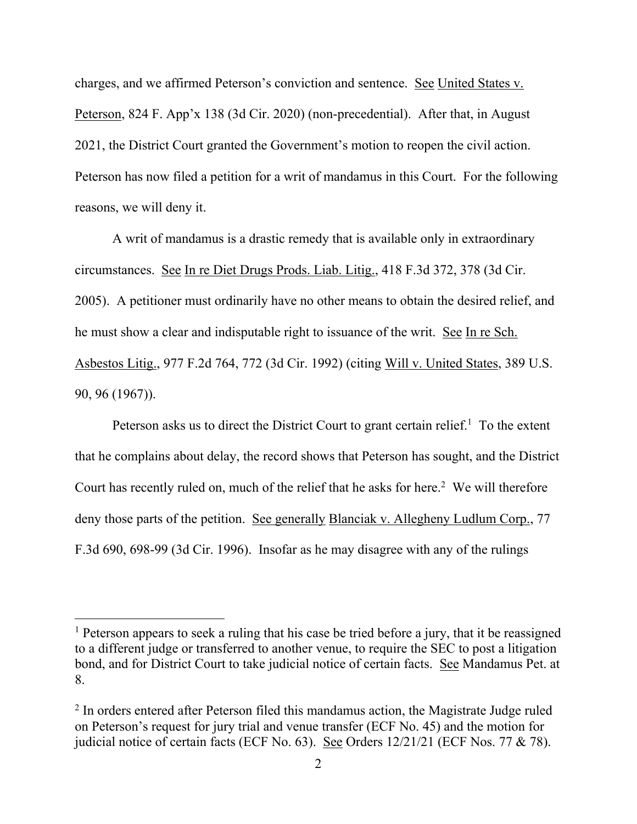charges, and we affirmed Peterson's conviction and sentence. See United States v. Peterson, 824 F. App'x 138 (3d Cir. 2020) (non-precedential). After that, in August 2021, the District Court granted the Government's motion to reopen the civil action. Peterson has now filed a petition for a writ of mandamus in this Court. For the following reasons, we will deny it.

A writ of mandamus is a drastic remedy that is available only in extraordinary circumstances. See In re Diet Drugs Prods. Liab. Litig., 418 F.3d 372, 378 (3d Cir. 2005). A petitioner must ordinarily have no other means to obtain the desired relief, and he must show a clear and indisputable right to issuance of the writ. See In re Sch. Asbestos Litig., 977 F.2d 764, 772 (3d Cir. 1992) (citing Will v. United States, 389 U.S. 90, 96 (1967)).

Peterson asks us to direct the District Court to grant certain relief.<sup>1</sup> To the extent that he complains about delay, the record shows that Peterson has sought, and the District Court has recently ruled on, much of the relief that he asks for here. $2$  We will therefore deny those parts of the petition. See generally Blanciak v. Allegheny Ludlum Corp., 77 F.3d 690, 698-99 (3d Cir. 1996). Insofar as he may disagree with any of the rulings

<sup>&</sup>lt;sup>1</sup> Peterson appears to seek a ruling that his case be tried before a jury, that it be reassigned to a different judge or transferred to another venue, to require the SEC to post a litigation bond, and for District Court to take judicial notice of certain facts. See Mandamus Pet. at 8.

<sup>&</sup>lt;sup>2</sup> In orders entered after Peterson filed this mandamus action, the Magistrate Judge ruled on Peterson's request for jury trial and venue transfer (ECF No. 45) and the motion for judicial notice of certain facts (ECF No. 63). See Orders 12/21/21 (ECF Nos. 77 & 78).